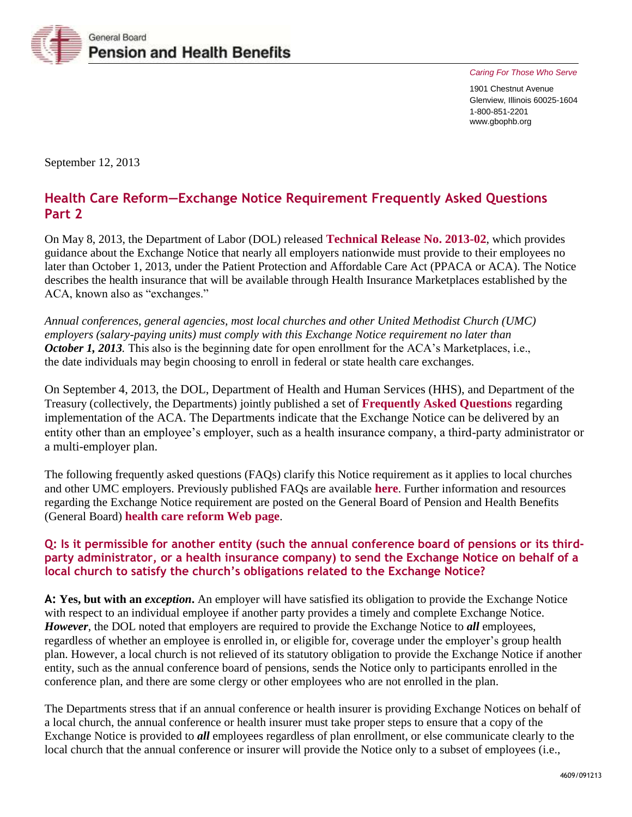

*Caring For Those Who Serve* 

1901 Chestnut Avenue Glenview, Illinois 60025-1604 1-800-851-2201 www.gbophb.org

September 12, 2013

# **Health Care Reform—Exchange Notice Requirement Frequently Asked Questions Part 2**

On May 8, 2013, the Department of Labor (DOL) released **[Technical Release No. 2013-02](http://www.dol.gov/ebsa/newsroom/tr13-02.html)**, which provides guidance about the Exchange Notice that nearly all employers nationwide must provide to their employees no later than October 1, 2013, under the Patient Protection and Affordable Care Act (PPACA or ACA). The Notice describes the health insurance that will be available through Health Insurance Marketplaces established by the ACA, known also as "exchanges."

*Annual conferences, general agencies, most local churches and other United Methodist Church (UMC) employers (salary-paying units) must comply with this Exchange Notice requirement no later than October 1, 2013*. This also is the beginning date for open enrollment for the ACA's Marketplaces, i.e., the date individuals may begin choosing to enroll in federal or state health care exchanges.

On September 4, 2013, the DOL, Department of Health and Human Services (HHS), and Department of the Treasury (collectively, the Departments) jointly published a set of **[Frequently Asked Questions](http://www.dol.gov/ebsa/pdf/faq-aca16.pdf)** regarding implementation of the ACA. The Departments indicate that the Exchange Notice can be delivered by an entity other than an employee's employer, such as a health insurance company, a third-party administrator or a multi-employer plan.

The following frequently asked questions (FAQs) clarify this Notice requirement as it applies to local churches and other UMC employers. Previously published FAQs are available **[here](http://www.gbophb.org/assets/1/7/4606.pdf)**. Further information and resources regarding the Exchange Notice requirement are posted on the General Board of Pension and Health Benefits (General Board) **[health care reform](http://www.gbophb.org/health_welfare/healthcarereform/index.asp) Web page**.

# **Q: Is it permissible for another entity (such the annual conference board of pensions or its thirdparty administrator, or a health insurance company) to send the Exchange Notice on behalf of a local church to satisfy the church's obligations related to the Exchange Notice?**

**A: Yes, but with an** *exception***.** An employer will have satisfied its obligation to provide the Exchange Notice with respect to an individual employee if another party provides a timely and complete Exchange Notice. *However*, the DOL noted that employers are required to provide the Exchange Notice to *all* employees, regardless of whether an employee is enrolled in, or eligible for, coverage under the employer's group health plan. However, a local church is not relieved of its statutory obligation to provide the Exchange Notice if another entity, such as the annual conference board of pensions, sends the Notice only to participants enrolled in the conference plan, and there are some clergy or other employees who are not enrolled in the plan.

The Departments stress that if an annual conference or health insurer is providing Exchange Notices on behalf of a local church, the annual conference or health insurer must take proper steps to ensure that a copy of the Exchange Notice is provided to *all* employees regardless of plan enrollment, or else communicate clearly to the local church that the annual conference or insurer will provide the Notice only to a subset of employees (i.e.,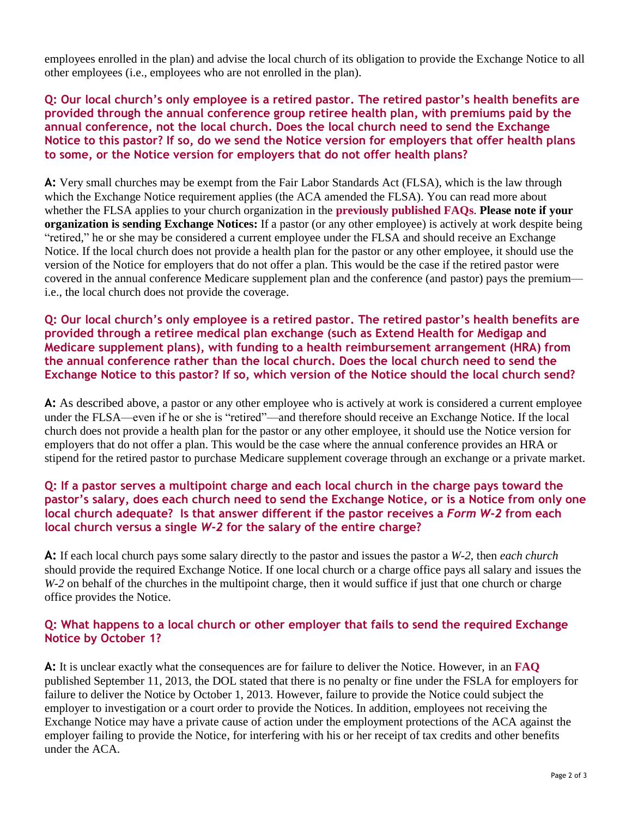employees enrolled in the plan) and advise the local church of its obligation to provide the Exchange Notice to all other employees (i.e., employees who are not enrolled in the plan).

**Q: Our local church's only employee is a retired pastor. The retired pastor's health benefits are provided through the annual conference group retiree health plan, with premiums paid by the annual conference, not the local church. Does the local church need to send the Exchange Notice to this pastor? If so, do we send the Notice version for employers that offer health plans to some, or the Notice version for employers that do not offer health plans?**

**A:** Very small churches may be exempt from the Fair Labor Standards Act (FLSA), which is the law through which the Exchange Notice requirement applies (the ACA amended the FLSA). You can read more about whether the FLSA applies to your church organization in the **[previously published FAQs](http://www.gbophb.org/assets/1/7/4606.pdf)**. **Please note if your organization is sending Exchange Notices:** If a pastor (or any other employee) is actively at work despite being "retired," he or she may be considered a current employee under the FLSA and should receive an Exchange Notice. If the local church does not provide a health plan for the pastor or any other employee, it should use the version of the Notice for employers that do not offer a plan. This would be the case if the retired pastor were covered in the annual conference Medicare supplement plan and the conference (and pastor) pays the premium i.e., the local church does not provide the coverage.

**Q: Our local church's only employee is a retired pastor. The retired pastor's health benefits are provided through a retiree medical plan exchange (such as Extend Health for Medigap and Medicare supplement plans), with funding to a health reimbursement arrangement (HRA) from the annual conference rather than the local church. Does the local church need to send the Exchange Notice to this pastor? If so, which version of the Notice should the local church send?**

**A:** As described above, a pastor or any other employee who is actively at work is considered a current employee under the FLSA—even if he or she is "retired"—and therefore should receive an Exchange Notice. If the local church does not provide a health plan for the pastor or any other employee, it should use the Notice version for employers that do not offer a plan. This would be the case where the annual conference provides an HRA or stipend for the retired pastor to purchase Medicare supplement coverage through an exchange or a private market.

# **Q: If a pastor serves a multipoint charge and each local church in the charge pays toward the pastor's salary, does each church need to send the Exchange Notice, or is a Notice from only one local church adequate? Is that answer different if the pastor receives a** *Form W-2* **from each local church versus a single** *W-2* **for the salary of the entire charge?**

**A:** If each local church pays some salary directly to the pastor and issues the pastor a *W-2*, then *each church* should provide the required Exchange Notice. If one local church or a charge office pays all salary and issues the *W-2* on behalf of the churches in the multipoint charge, then it would suffice if just that one church or charge office provides the Notice.

# **Q: What happens to a local church or other employer that fails to send the required Exchange Notice by October 1?**

**A:** It is unclear exactly what the consequences are for failure to deliver the Notice. However, in an **[FAQ](http://www.dol.gov/ebsa/faqs/faq-noticeofcoverageoptions.html)** published September 11, 2013, the DOL stated that there is no penalty or fine under the FSLA for employers for failure to deliver the Notice by October 1, 2013. However, failure to provide the Notice could subject the employer to investigation or a court order to provide the Notices. In addition, employees not receiving the Exchange Notice may have a private cause of action under the employment protections of the ACA against the employer failing to provide the Notice, for interfering with his or her receipt of tax credits and other benefits under the ACA.